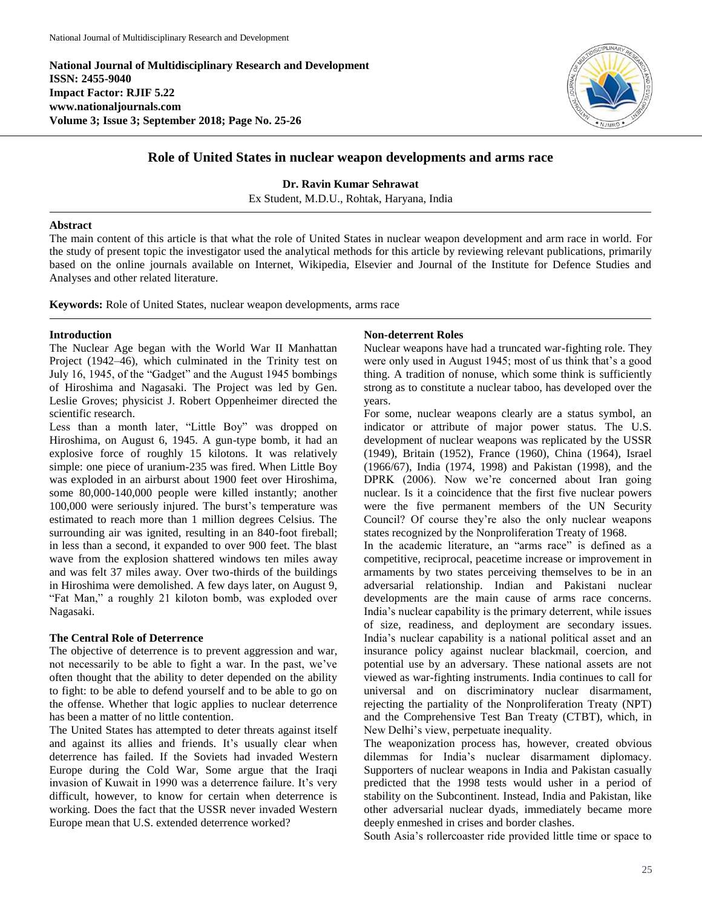**National Journal of Multidisciplinary Research and Development ISSN: 2455-9040 Impact Factor: RJIF 5.22 www.nationaljournals.com Volume 3; Issue 3; September 2018; Page No. 25-26**



# **Role of United States in nuclear weapon developments and arms race**

**Dr. Ravin Kumar Sehrawat** Ex Student, M.D.U., Rohtak, Haryana, India

## **Abstract**

The main content of this article is that what the role of United States in nuclear weapon development and arm race in world. For the study of present topic the investigator used the analytical methods for this article by reviewing relevant publications, primarily based on the online journals available on Internet, Wikipedia, Elsevier and Journal of the Institute for Defence Studies and Analyses and other related literature.

**Keywords:** Role of United States, nuclear weapon developments, arms race

### **Introduction**

The Nuclear Age began with the World War II Manhattan Project (1942–46), which culminated in the Trinity test on July 16, 1945, of the "Gadget" and the August 1945 bombings of Hiroshima and Nagasaki. The Project was led by Gen. Leslie Groves; physicist J. Robert Oppenheimer directed the scientific research.

Less than a month later, "Little Boy" was dropped on Hiroshima, on August 6, 1945. A gun-type bomb, it had an explosive force of roughly 15 kilotons. It was relatively simple: one piece of uranium-235 was fired. When Little Boy was exploded in an airburst about 1900 feet over Hiroshima, some 80,000-140,000 people were killed instantly; another 100,000 were seriously injured. The burst's temperature was estimated to reach more than 1 million degrees Celsius. The surrounding air was ignited, resulting in an 840-foot fireball; in less than a second, it expanded to over 900 feet. The blast wave from the explosion shattered windows ten miles away and was felt 37 miles away. Over two-thirds of the buildings in Hiroshima were demolished. A few days later, on August 9, "Fat Man," a roughly 21 kiloton bomb, was exploded over Nagasaki.

#### **The Central Role of Deterrence**

The objective of deterrence is to prevent aggression and war, not necessarily to be able to fight a war. In the past, we've often thought that the ability to deter depended on the ability to fight: to be able to defend yourself and to be able to go on the offense. Whether that logic applies to nuclear deterrence has been a matter of no little contention.

The United States has attempted to deter threats against itself and against its allies and friends. It's usually clear when deterrence has failed. If the Soviets had invaded Western Europe during the Cold War, Some argue that the Iraqi invasion of Kuwait in 1990 was a deterrence failure. It's very difficult, however, to know for certain when deterrence is working. Does the fact that the USSR never invaded Western Europe mean that U.S. extended deterrence worked?

#### **Non-deterrent Roles**

Nuclear weapons have had a truncated war-fighting role. They were only used in August 1945; most of us think that's a good thing. A tradition of nonuse, which some think is sufficiently strong as to constitute a nuclear taboo, has developed over the years.

For some, nuclear weapons clearly are a status symbol, an indicator or attribute of major power status. The U.S. development of nuclear weapons was replicated by the USSR (1949), Britain (1952), France (1960), China (1964), Israel (1966/67), India (1974, 1998) and Pakistan (1998), and the DPRK (2006). Now we're concerned about Iran going nuclear. Is it a coincidence that the first five nuclear powers were the five permanent members of the UN Security Council? Of course they're also the only nuclear weapons states recognized by the Nonproliferation Treaty of 1968.

In the academic literature, an "arms race" is defined as a competitive, reciprocal, peacetime increase or improvement in armaments by two states perceiving themselves to be in an adversarial relationship. Indian and Pakistani nuclear developments are the main cause of arms race concerns. India's nuclear capability is the primary deterrent, while issues of size, readiness, and deployment are secondary issues. India's nuclear capability is a national political asset and an insurance policy against nuclear blackmail, coercion, and potential use by an adversary. These national assets are not viewed as war-fighting instruments. India continues to call for universal and on discriminatory nuclear disarmament, rejecting the partiality of the Nonproliferation Treaty (NPT) and the Comprehensive Test Ban Treaty (CTBT), which, in New Delhi's view, perpetuate inequality.

The weaponization process has, however, created obvious dilemmas for India's nuclear disarmament diplomacy. Supporters of nuclear weapons in India and Pakistan casually predicted that the 1998 tests would usher in a period of stability on the Subcontinent. Instead, India and Pakistan, like other adversarial nuclear dyads, immediately became more deeply enmeshed in crises and border clashes.

South Asia's rollercoaster ride provided little time or space to